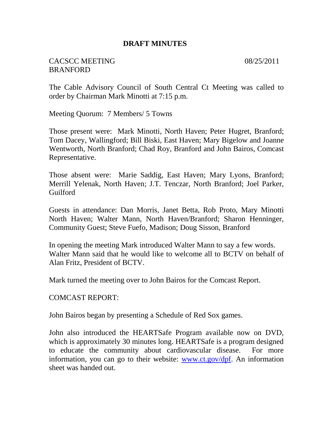#### **DRAFT MINUTES**

### CACSCC MEETING 08/25/2011 **BRANFORD**

The Cable Advisory Council of South Central Ct Meeting was called to order by Chairman Mark Minotti at 7:15 p.m.

Meeting Quorum: 7 Members/ 5 Towns

Those present were: Mark Minotti, North Haven; Peter Hugret, Branford; Tom Dacey, Wallingford; Bill Biski, East Haven; Mary Bigelow and Joanne Wentworth, North Branford; Chad Roy, Branford and John Bairos, Comcast Representative.

Those absent were: Marie Saddig, East Haven; Mary Lyons, Branford; Merrill Yelenak, North Haven; J.T. Tenczar, North Branford; Joel Parker, Guilford

Guests in attendance: Dan Morris, Janet Betta, Rob Proto, Mary Minotti North Haven; Walter Mann, North Haven/Branford; Sharon Henninger, Community Guest; Steve Fuefo, Madison; Doug Sisson, Branford

In opening the meeting Mark introduced Walter Mann to say a few words. Walter Mann said that he would like to welcome all to BCTV on behalf of Alan Fritz, President of BCTV.

Mark turned the meeting over to John Bairos for the Comcast Report.

COMCAST REPORT:

John Bairos began by presenting a Schedule of Red Sox games.

John also introduced the HEARTSafe Program available now on DVD, which is approximately 30 minutes long. HEARTSafe is a program designed to educate the community about cardiovascular disease. For more information, you can go to their website: [www.ct.gov/dpf.](http://www.ct.gov/dpf) An information sheet was handed out.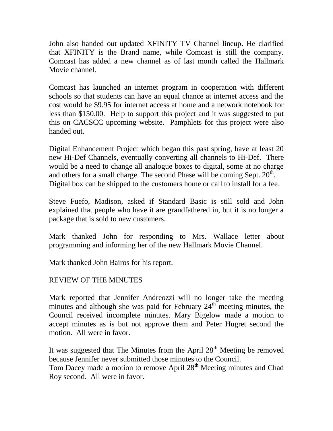John also handed out updated XFINITY TV Channel lineup. He clarified that XFINITY is the Brand name, while Comcast is still the company. Comcast has added a new channel as of last month called the Hallmark Movie channel.

Comcast has launched an internet program in cooperation with different schools so that students can have an equal chance at internet access and the cost would be \$9.95 for internet access at home and a network notebook for less than \$150.00. Help to support this project and it was suggested to put this on CACSCC upcoming website. Pamphlets for this project were also handed out.

Digital Enhancement Project which began this past spring, have at least 20 new Hi-Def Channels, eventually converting all channels to Hi-Def. There would be a need to change all analogue boxes to digital, some at no charge and others for a small charge. The second Phase will be coming Sept.  $20<sup>th</sup>$ . Digital box can be shipped to the customers home or call to install for a fee.

Steve Fuefo, Madison, asked if Standard Basic is still sold and John explained that people who have it are grandfathered in, but it is no longer a package that is sold to new customers.

Mark thanked John for responding to Mrs. Wallace letter about programming and informing her of the new Hallmark Movie Channel.

Mark thanked John Bairos for his report.

# REVIEW OF THE MINUTES

Mark reported that Jennifer Andreozzi will no longer take the meeting minutes and although she was paid for February  $24<sup>th</sup>$  meeting minutes, the Council received incomplete minutes. Mary Bigelow made a motion to accept minutes as is but not approve them and Peter Hugret second the motion. All were in favor.

It was suggested that The Minutes from the April  $28<sup>th</sup>$  Meeting be removed because Jennifer never submitted those minutes to the Council.

Tom Dacey made a motion to remove April 28<sup>th</sup> Meeting minutes and Chad Roy second. All were in favor.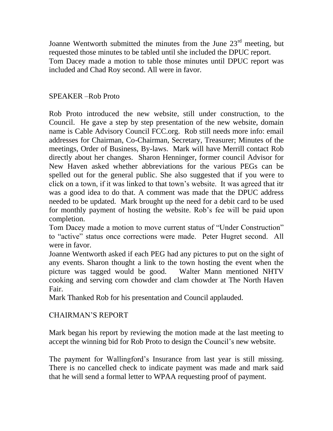Joanne Wentworth submitted the minutes from the June  $23<sup>rd</sup>$  meeting, but requested those minutes to be tabled until she included the DPUC report. Tom Dacey made a motion to table those minutes until DPUC report was included and Chad Roy second. All were in favor.

## SPEAKER –Rob Proto

Rob Proto introduced the new website, still under construction, to the Council. He gave a step by step presentation of the new website, domain name is Cable Advisory Council FCC.org. Rob still needs more info: email addresses for Chairman, Co-Chairman, Secretary, Treasurer; Minutes of the meetings, Order of Business, By-laws. Mark will have Merrill contact Rob directly about her changes. Sharon Henninger, former council Advisor for New Haven asked whether abbreviations for the various PEGs can be spelled out for the general public. She also suggested that if you were to click on a town, if it was linked to that town's website. It was agreed that itr was a good idea to do that. A comment was made that the DPUC address needed to be updated. Mark brought up the need for a debit card to be used for monthly payment of hosting the website. Rob's fee will be paid upon completion.

Tom Dacey made a motion to move current status of "Under Construction" to "active" status once corrections were made. Peter Hugret second. All were in favor.

Joanne Wentworth asked if each PEG had any pictures to put on the sight of any events. Sharon thought a link to the town hosting the event when the picture was tagged would be good. Walter Mann mentioned NHTV cooking and serving corn chowder and clam chowder at The North Haven Fair.

Mark Thanked Rob for his presentation and Council applauded.

# CHAIRMAN'S REPORT

Mark began his report by reviewing the motion made at the last meeting to accept the winning bid for Rob Proto to design the Council's new website.

The payment for Wallingford's Insurance from last year is still missing. There is no cancelled check to indicate payment was made and mark said that he will send a formal letter to WPAA requesting proof of payment.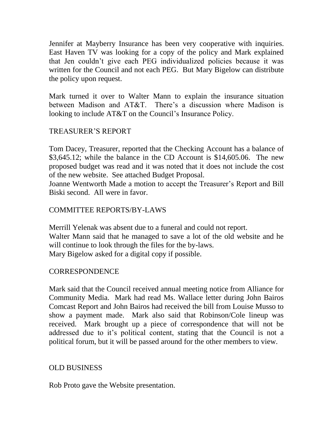Jennifer at Mayberry Insurance has been very cooperative with inquiries. East Haven TV was looking for a copy of the policy and Mark explained that Jen couldn't give each PEG individualized policies because it was written for the Council and not each PEG. But Mary Bigelow can distribute the policy upon request.

Mark turned it over to Walter Mann to explain the insurance situation between Madison and AT&T. There's a discussion where Madison is looking to include AT&T on the Council's Insurance Policy.

# TREASURER'S REPORT

Tom Dacey, Treasurer, reported that the Checking Account has a balance of \$3,645.12; while the balance in the CD Account is \$14,605.06. The new proposed budget was read and it was noted that it does not include the cost of the new website. See attached Budget Proposal.

Joanne Wentworth Made a motion to accept the Treasurer's Report and Bill Biski second. All were in favor.

### COMMITTEE REPORTS/BY-LAWS

Merrill Yelenak was absent due to a funeral and could not report. Walter Mann said that he managed to save a lot of the old website and he will continue to look through the files for the by-laws. Mary Bigelow asked for a digital copy if possible.

#### CORRESPONDENCE

Mark said that the Council received annual meeting notice from Alliance for Community Media. Mark had read Ms. Wallace letter during John Bairos Comcast Report and John Bairos had received the bill from Louise Musso to show a payment made. Mark also said that Robinson/Cole lineup was received. Mark brought up a piece of correspondence that will not be addressed due to it's political content, stating that the Council is not a political forum, but it will be passed around for the other members to view.

### OLD BUSINESS

Rob Proto gave the Website presentation.